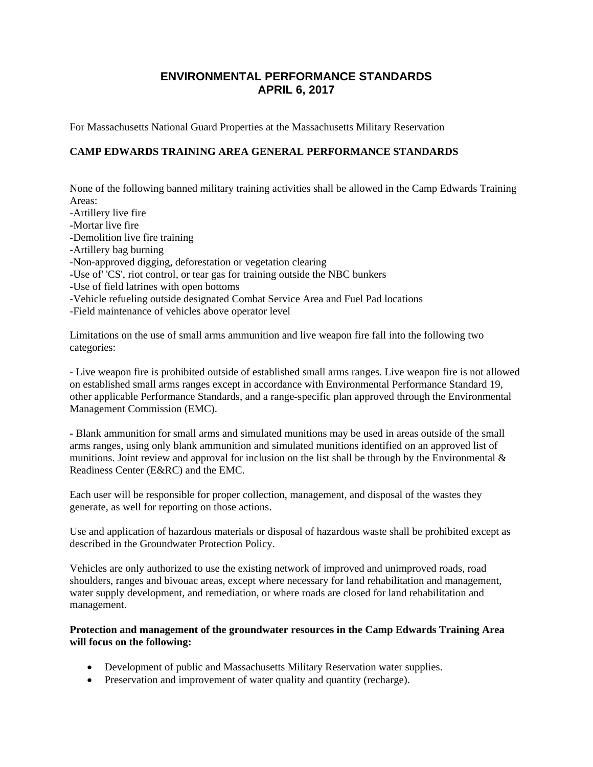# **ENVIRONMENTAL PERFORMANCE STANDARDS APRIL 6, 2017**

For Massachusetts National Guard Properties at the Massachusetts Military Reservation

# **CAMP EDWARDS TRAINING AREA GENERAL PERFORMANCE STANDARDS**

None of the following banned military training activities shall be allowed in the Camp Edwards Training Areas:

-Artillery live fire

-Mortar live fire

- -Demolition live fire training
- -Artillery bag burning
- -Non-approved digging, deforestation or vegetation clearing
- -Use of' 'CS', riot control, or tear gas for training outside the NBC bunkers
- -Use of field latrines with open bottoms
- -Vehicle refueling outside designated Combat Service Area and Fuel Pad locations
- -Field maintenance of vehicles above operator level

Limitations on the use of small arms ammunition and live weapon fire fall into the following two categories:

- Live weapon fire is prohibited outside of established small arms ranges. Live weapon fire is not allowed on established small arms ranges except in accordance with Environmental Performance Standard 19, other applicable Performance Standards, and a range-specific plan approved through the Environmental Management Commission (EMC).

- Blank ammunition for small arms and simulated munitions may be used in areas outside of the small arms ranges, using only blank ammunition and simulated munitions identified on an approved list of munitions. Joint review and approval for inclusion on the list shall be through by the Environmental  $\&$ Readiness Center (E&RC) and the EMC.

Each user will be responsible for proper collection, management, and disposal of the wastes they generate, as well for reporting on those actions.

Use and application of hazardous materials or disposal of hazardous waste shall be prohibited except as described in the Groundwater Protection Policy.

Vehicles are only authorized to use the existing network of improved and unimproved roads, road shoulders, ranges and bivouac areas, except where necessary for land rehabilitation and management, water supply development, and remediation, or where roads are closed for land rehabilitation and management.

#### **Protection and management of the groundwater resources in the Camp Edwards Training Area will focus on the following:**

- Development of public and Massachusetts Military Reservation water supplies.
- Preservation and improvement of water quality and quantity (recharge).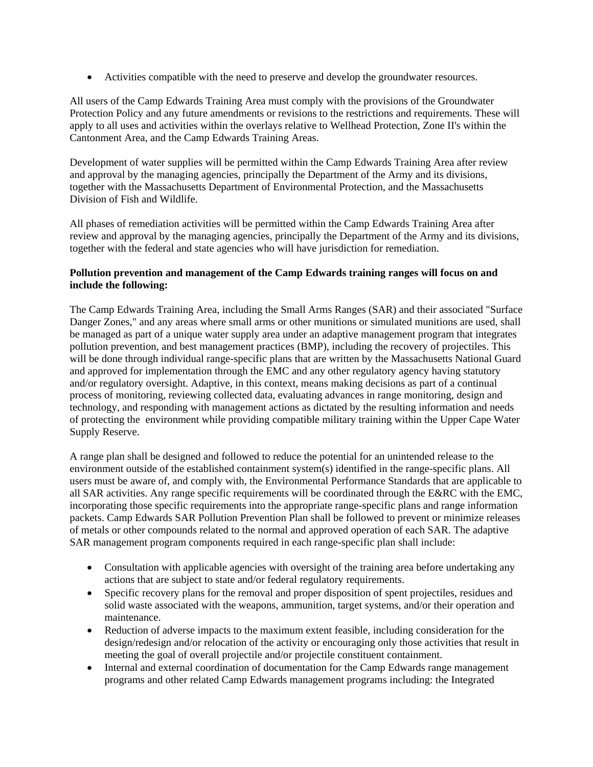Activities compatible with the need to preserve and develop the groundwater resources.

All users of the Camp Edwards Training Area must comply with the provisions of the Groundwater Protection Policy and any future amendments or revisions to the restrictions and requirements. These will apply to all uses and activities within the overlays relative to Wellhead Protection, Zone II's within the Cantonment Area, and the Camp Edwards Training Areas.

Development of water supplies will be permitted within the Camp Edwards Training Area after review and approval by the managing agencies, principally the Department of the Army and its divisions, together with the Massachusetts Department of Environmental Protection, and the Massachusetts Division of Fish and Wildlife.

All phases of remediation activities will be permitted within the Camp Edwards Training Area after review and approval by the managing agencies, principally the Department of the Army and its divisions, together with the federal and state agencies who will have jurisdiction for remediation.

## **Pollution prevention and management of the Camp Edwards training ranges will focus on and include the following:**

The Camp Edwards Training Area, including the Small Arms Ranges (SAR) and their associated "Surface Danger Zones," and any areas where small arms or other munitions or simulated munitions are used, shall be managed as part of a unique water supply area under an adaptive management program that integrates pollution prevention, and best management practices (BMP), including the recovery of projectiles. This will be done through individual range-specific plans that are written by the Massachusetts National Guard and approved for implementation through the EMC and any other regulatory agency having statutory and/or regulatory oversight. Adaptive, in this context, means making decisions as part of a continual process of monitoring, reviewing collected data, evaluating advances in range monitoring, design and technology, and responding with management actions as dictated by the resulting information and needs of protecting the environment while providing compatible military training within the Upper Cape Water Supply Reserve.

A range plan shall be designed and followed to reduce the potential for an unintended release to the environment outside of the established containment system(s) identified in the range-specific plans. All users must be aware of, and comply with, the Environmental Performance Standards that are applicable to all SAR activities. Any range specific requirements will be coordinated through the E&RC with the EMC, incorporating those specific requirements into the appropriate range-specific plans and range information packets. Camp Edwards SAR Pollution Prevention Plan shall be followed to prevent or minimize releases of metals or other compounds related to the normal and approved operation of each SAR. The adaptive SAR management program components required in each range-specific plan shall include:

- Consultation with applicable agencies with oversight of the training area before undertaking any actions that are subject to state and/or federal regulatory requirements.
- Specific recovery plans for the removal and proper disposition of spent projectiles, residues and solid waste associated with the weapons, ammunition, target systems, and/or their operation and maintenance.
- Reduction of adverse impacts to the maximum extent feasible, including consideration for the design/redesign and/or relocation of the activity or encouraging only those activities that result in meeting the goal of overall projectile and/or projectile constituent containment.
- Internal and external coordination of documentation for the Camp Edwards range management programs and other related Camp Edwards management programs including: the Integrated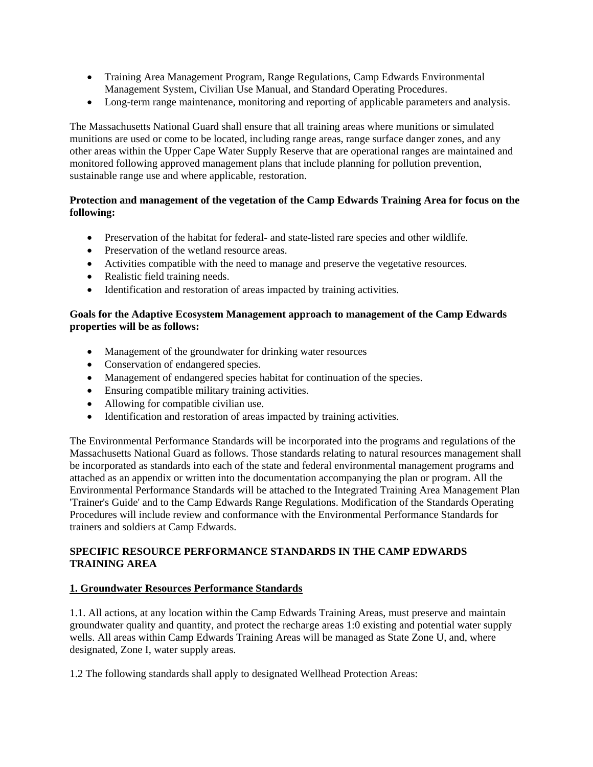- Training Area Management Program, Range Regulations, Camp Edwards Environmental Management System, Civilian Use Manual, and Standard Operating Procedures.
- Long-term range maintenance, monitoring and reporting of applicable parameters and analysis.

The Massachusetts National Guard shall ensure that all training areas where munitions or simulated munitions are used or come to be located, including range areas, range surface danger zones, and any other areas within the Upper Cape Water Supply Reserve that are operational ranges are maintained and monitored following approved management plans that include planning for pollution prevention, sustainable range use and where applicable, restoration.

#### **Protection and management of the vegetation of the Camp Edwards Training Area for focus on the following:**

- Preservation of the habitat for federal- and state-listed rare species and other wildlife.
- Preservation of the wetland resource areas.
- Activities compatible with the need to manage and preserve the vegetative resources.
- Realistic field training needs.
- Identification and restoration of areas impacted by training activities.

#### **Goals for the Adaptive Ecosystem Management approach to management of the Camp Edwards properties will be as follows:**

- Management of the groundwater for drinking water resources
- Conservation of endangered species.
- Management of endangered species habitat for continuation of the species.
- Ensuring compatible military training activities.
- Allowing for compatible civilian use.
- Identification and restoration of areas impacted by training activities.

The Environmental Performance Standards will be incorporated into the programs and regulations of the Massachusetts National Guard as follows. Those standards relating to natural resources management shall be incorporated as standards into each of the state and federal environmental management programs and attached as an appendix or written into the documentation accompanying the plan or program. All the Environmental Performance Standards will be attached to the Integrated Training Area Management Plan 'Trainer's Guide' and to the Camp Edwards Range Regulations. Modification of the Standards Operating Procedures will include review and conformance with the Environmental Performance Standards for trainers and soldiers at Camp Edwards.

## **SPECIFIC RESOURCE PERFORMANCE STANDARDS IN THE CAMP EDWARDS TRAINING AREA**

#### **1. Groundwater Resources Performance Standards**

1.1. All actions, at any location within the Camp Edwards Training Areas, must preserve and maintain groundwater quality and quantity, and protect the recharge areas 1:0 existing and potential water supply wells. All areas within Camp Edwards Training Areas will be managed as State Zone U, and, where designated, Zone I, water supply areas.

1.2 The following standards shall apply to designated Wellhead Protection Areas: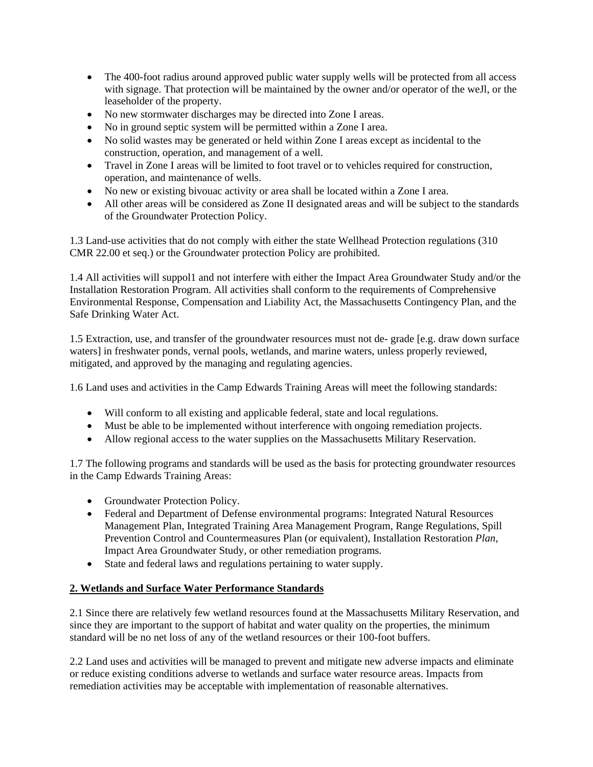- The 400-foot radius around approved public water supply wells will be protected from all access with signage. That protection will be maintained by the owner and/or operator of the weJl, or the leaseholder of the property.
- No new stormwater discharges may be directed into Zone I areas.
- No in ground septic system will be permitted within a Zone I area.
- No solid wastes may be generated or held within Zone I areas except as incidental to the construction, operation, and management of a well.
- Travel in Zone I areas will be limited to foot travel or to vehicles required for construction, operation, and maintenance of wells.
- No new or existing bivouac activity or area shall be located within a Zone I area.
- All other areas will be considered as Zone II designated areas and will be subject to the standards of the Groundwater Protection Policy.

1.3 Land-use activities that do not comply with either the state Wellhead Protection regulations (310 CMR 22.00 et seq.) or the Groundwater protection Policy are prohibited.

1.4 All activities will suppol1 and not interfere with either the Impact Area Groundwater Study and/or the Installation Restoration Program. All activities shall conform to the requirements of Comprehensive Environmental Response, Compensation and Liability Act, the Massachusetts Contingency Plan, and the Safe Drinking Water Act.

1.5 Extraction, use, and transfer of the groundwater resources must not de- grade [e.g. draw down surface waters] in freshwater ponds, vernal pools, wetlands, and marine waters, unless properly reviewed, mitigated, and approved by the managing and regulating agencies.

1.6 Land uses and activities in the Camp Edwards Training Areas will meet the following standards:

- Will conform to all existing and applicable federal, state and local regulations.
- Must be able to be implemented without interference with ongoing remediation projects.
- Allow regional access to the water supplies on the Massachusetts Military Reservation.

1.7 The following programs and standards will be used as the basis for protecting groundwater resources in the Camp Edwards Training Areas:

- Groundwater Protection Policy.
- Federal and Department of Defense environmental programs: Integrated Natural Resources Management Plan, Integrated Training Area Management Program, Range Regulations, Spill Prevention Control and Countermeasures Plan (or equivalent), Installation Restoration *Plan,*  Impact Area Groundwater Study, or other remediation programs.
- State and federal laws and regulations pertaining to water supply.

#### **2. Wetlands and Surface Water Performance Standards**

2.1 Since there are relatively few wetland resources found at the Massachusetts Military Reservation, and since they are important to the support of habitat and water quality on the properties, the minimum standard will be no net loss of any of the wetland resources or their 100-foot buffers.

2.2 Land uses and activities will be managed to prevent and mitigate new adverse impacts and eliminate or reduce existing conditions adverse to wetlands and surface water resource areas. Impacts from remediation activities may be acceptable with implementation of reasonable alternatives.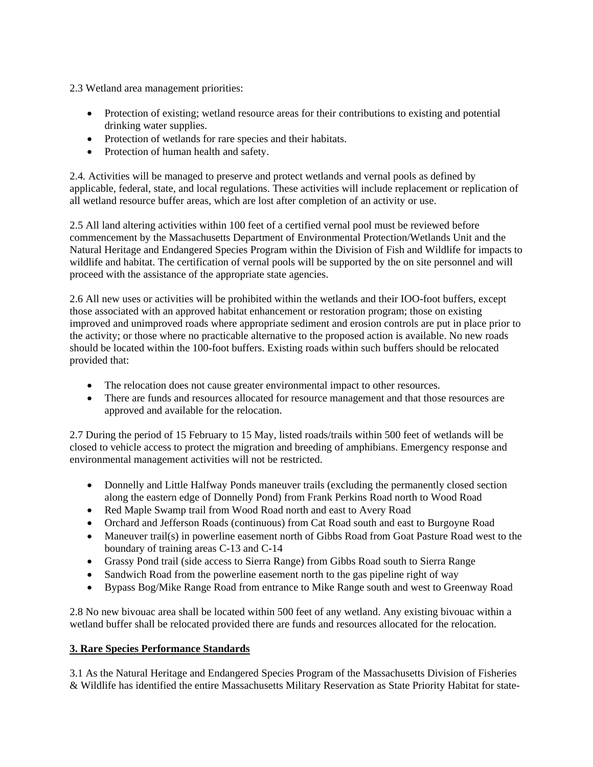2.3 Wetland area management priorities:

- Protection of existing; wetland resource areas for their contributions to existing and potential drinking water supplies.
- Protection of wetlands for rare species and their habitats.
- Protection of human health and safety.

2.4*.* Activities will be managed to preserve and protect wetlands and vernal pools as defined by applicable, federal, state, and local regulations. These activities will include replacement or replication of all wetland resource buffer areas, which are lost after completion of an activity or use.

2.5 All land altering activities within 100 feet of a certified vernal pool must be reviewed before commencement by the Massachusetts Department of Environmental Protection/Wetlands Unit and the Natural Heritage and Endangered Species Program within the Division of Fish and Wildlife for impacts to wildlife and habitat. The certification of vernal pools will be supported by the on site personnel and will proceed with the assistance of the appropriate state agencies.

2.6 All new uses or activities will be prohibited within the wetlands and their IOO-foot buffers, except those associated with an approved habitat enhancement or restoration program; those on existing improved and unimproved roads where appropriate sediment and erosion controls are put in place prior to the activity; or those where no practicable alternative to the proposed action is available. No new roads should be located within the 100-foot buffers. Existing roads within such buffers should be relocated provided that:

- The relocation does not cause greater environmental impact to other resources.
- There are funds and resources allocated for resource management and that those resources are approved and available for the relocation.

2.7 During the period of 15 February to 15 May, listed roads/trails within 500 feet of wetlands will be closed to vehicle access to protect the migration and breeding of amphibians. Emergency response and environmental management activities will not be restricted.

- Donnelly and Little Halfway Ponds maneuver trails (excluding the permanently closed section along the eastern edge of Donnelly Pond) from Frank Perkins Road north to Wood Road
- Red Maple Swamp trail from Wood Road north and east to Avery Road
- Orchard and Jefferson Roads (continuous) from Cat Road south and east to Burgoyne Road
- Maneuver trail(s) in powerline easement north of Gibbs Road from Goat Pasture Road west to the boundary of training areas C-13 and C-14
- Grassy Pond trail (side access to Sierra Range) from Gibbs Road south to Sierra Range
- Sandwich Road from the powerline easement north to the gas pipeline right of way
- Bypass Bog/Mike Range Road from entrance to Mike Range south and west to Greenway Road

2.8 No new bivouac area shall be located within 500 feet of any wetland. Any existing bivouac within a wetland buffer shall be relocated provided there are funds and resources allocated for the relocation.

# **3. Rare Species Performance Standards**

3.1 As the Natural Heritage and Endangered Species Program of the Massachusetts Division of Fisheries & Wildlife has identified the entire Massachusetts Military Reservation as State Priority Habitat for state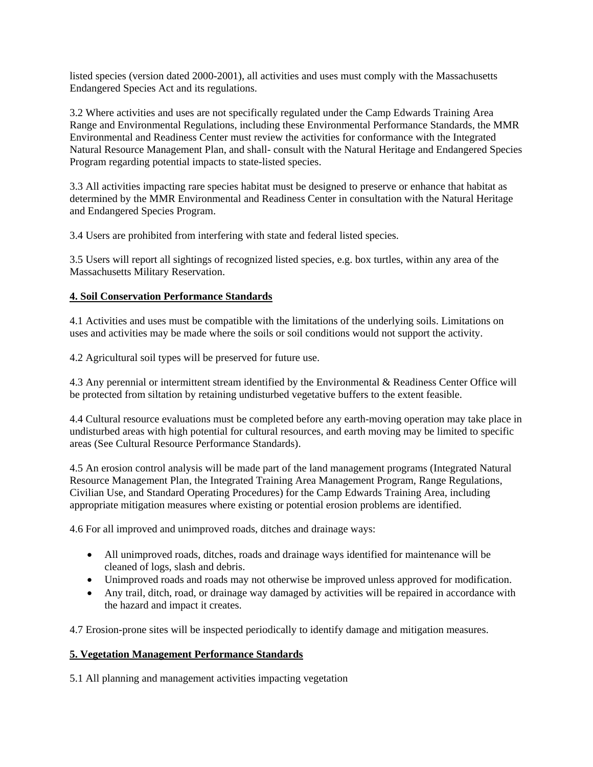listed species (version dated 2000-2001), all activities and uses must comply with the Massachusetts Endangered Species Act and its regulations.

3.2 Where activities and uses are not specifically regulated under the Camp Edwards Training Area Range and Environmental Regulations, including these Environmental Performance Standards, the MMR Environmental and Readiness Center must review the activities for conformance with the Integrated Natural Resource Management Plan, and shall- consult with the Natural Heritage and Endangered Species Program regarding potential impacts to state-listed species.

3.3 All activities impacting rare species habitat must be designed to preserve or enhance that habitat as determined by the MMR Environmental and Readiness Center in consultation with the Natural Heritage and Endangered Species Program.

3.4 Users are prohibited from interfering with state and federal listed species.

3.5 Users will report all sightings of recognized listed species, e.g. box turtles, within any area of the Massachusetts Military Reservation.

## **4. Soil Conservation Performance Standards**

4.1 Activities and uses must be compatible with the limitations of the underlying soils. Limitations on uses and activities may be made where the soils or soil conditions would not support the activity.

4.2 Agricultural soil types will be preserved for future use.

4.3 Any perennial or intermittent stream identified by the Environmental & Readiness Center Office will be protected from siltation by retaining undisturbed vegetative buffers to the extent feasible.

4.4 Cultural resource evaluations must be completed before any earth-moving operation may take place in undisturbed areas with high potential for cultural resources, and earth moving may be limited to specific areas (See Cultural Resource Performance Standards).

4.5 An erosion control analysis will be made part of the land management programs (Integrated Natural Resource Management Plan, the Integrated Training Area Management Program, Range Regulations, Civilian Use, and Standard Operating Procedures) for the Camp Edwards Training Area, including appropriate mitigation measures where existing or potential erosion problems are identified.

4.6 For all improved and unimproved roads, ditches and drainage ways:

- All unimproved roads, ditches, roads and drainage ways identified for maintenance will be cleaned of logs, slash and debris.
- Unimproved roads and roads may not otherwise be improved unless approved for modification.
- Any trail, ditch, road, or drainage way damaged by activities will be repaired in accordance with the hazard and impact it creates.

4.7 Erosion-prone sites will be inspected periodically to identify damage and mitigation measures.

#### **5. Vegetation Management Performance Standards**

5.1 All planning and management activities impacting vegetation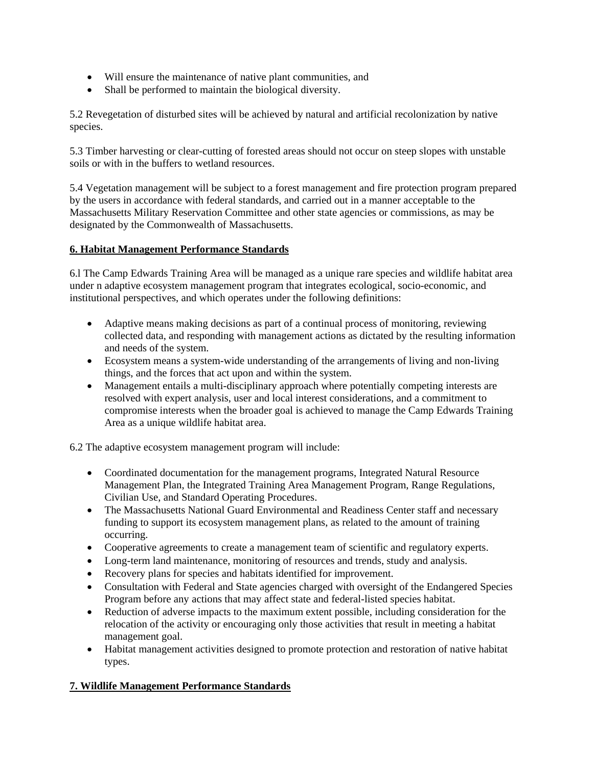- Will ensure the maintenance of native plant communities, and
- Shall be performed to maintain the biological diversity.

5.2 Revegetation of disturbed sites will be achieved by natural and artificial recolonization by native species.

5.3 Timber harvesting or clear-cutting of forested areas should not occur on steep slopes with unstable soils or with in the buffers to wetland resources.

5.4 Vegetation management will be subject to a forest management and fire protection program prepared by the users in accordance with federal standards, and carried out in a manner acceptable to the Massachusetts Military Reservation Committee and other state agencies or commissions, as may be designated by the Commonwealth of Massachusetts.

## **6. Habitat Management Performance Standards**

6.l The Camp Edwards Training Area will be managed as a unique rare species and wildlife habitat area under n adaptive ecosystem management program that integrates ecological, socio-economic, and institutional perspectives, and which operates under the following definitions:

- Adaptive means making decisions as part of a continual process of monitoring, reviewing collected data, and responding with management actions as dictated by the resulting information and needs of the system.
- Ecosystem means a system-wide understanding of the arrangements of living and non-living things, and the forces that act upon and within the system.
- Management entails a multi-disciplinary approach where potentially competing interests are resolved with expert analysis, user and local interest considerations, and a commitment to compromise interests when the broader goal is achieved to manage the Camp Edwards Training Area as a unique wildlife habitat area.

6.2 The adaptive ecosystem management program will include:

- Coordinated documentation for the management programs, Integrated Natural Resource Management Plan, the Integrated Training Area Management Program, Range Regulations, Civilian Use, and Standard Operating Procedures.
- The Massachusetts National Guard Environmental and Readiness Center staff and necessary funding to support its ecosystem management plans, as related to the amount of training occurring.
- Cooperative agreements to create a management team of scientific and regulatory experts.
- Long-term land maintenance, monitoring of resources and trends, study and analysis.
- Recovery plans for species and habitats identified for improvement.
- Consultation with Federal and State agencies charged with oversight of the Endangered Species Program before any actions that may affect state and federal-listed species habitat.
- Reduction of adverse impacts to the maximum extent possible, including consideration for the relocation of the activity or encouraging only those activities that result in meeting a habitat management goal.
- Habitat management activities designed to promote protection and restoration of native habitat types.

# **7. Wildlife Management Performance Standards**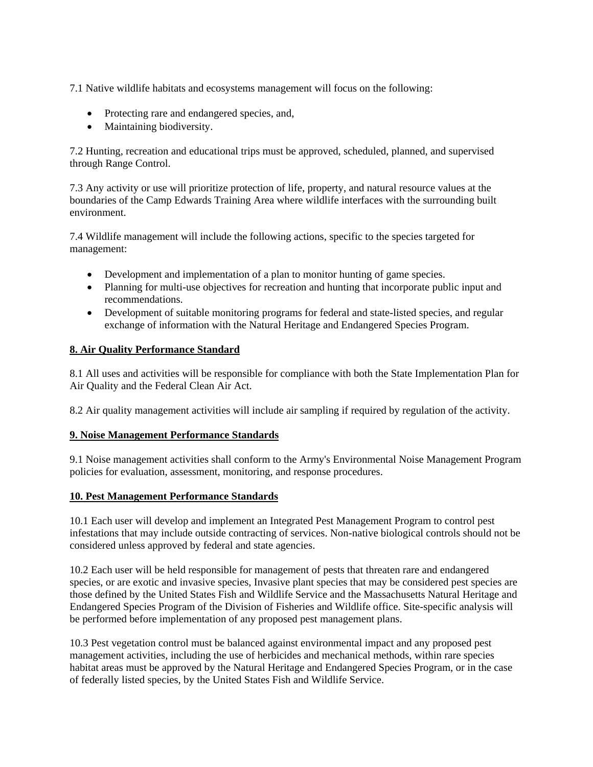7.1 Native wildlife habitats and ecosystems management will focus on the following:

- Protecting rare and endangered species, and,
- Maintaining biodiversity.

7.2 Hunting, recreation and educational trips must be approved, scheduled, planned, and supervised through Range Control.

7.3 Any activity or use will prioritize protection of life, property, and natural resource values at the boundaries of the Camp Edwards Training Area where wildlife interfaces with the surrounding built environment.

7.4 Wildlife management will include the following actions, specific to the species targeted for management:

- Development and implementation of a plan to monitor hunting of game species.
- Planning for multi-use objectives for recreation and hunting that incorporate public input and recommendations.
- Development of suitable monitoring programs for federal and state-listed species, and regular exchange of information with the Natural Heritage and Endangered Species Program.

## **8. Air Quality Performance Standard**

8.1 All uses and activities will be responsible for compliance with both the State Implementation Plan for Air Quality and the Federal Clean Air Act.

8.2 Air quality management activities will include air sampling if required by regulation of the activity.

#### **9. Noise Management Performance Standards**

9.1 Noise management activities shall conform to the Army's Environmental Noise Management Program policies for evaluation, assessment, monitoring, and response procedures.

#### **10. Pest Management Performance Standards**

10.1 Each user will develop and implement an Integrated Pest Management Program to control pest infestations that may include outside contracting of services. Non-native biological controls should not be considered unless approved by federal and state agencies.

10.2 Each user will be held responsible for management of pests that threaten rare and endangered species, or are exotic and invasive species, Invasive plant species that may be considered pest species are those defined by the United States Fish and Wildlife Service and the Massachusetts Natural Heritage and Endangered Species Program of the Division of Fisheries and Wildlife office. Site-specific analysis will be performed before implementation of any proposed pest management plans.

10.3 Pest vegetation control must be balanced against environmental impact and any proposed pest management activities, including the use of herbicides and mechanical methods, within rare species habitat areas must be approved by the Natural Heritage and Endangered Species Program, or in the case of federally listed species, by the United States Fish and Wildlife Service.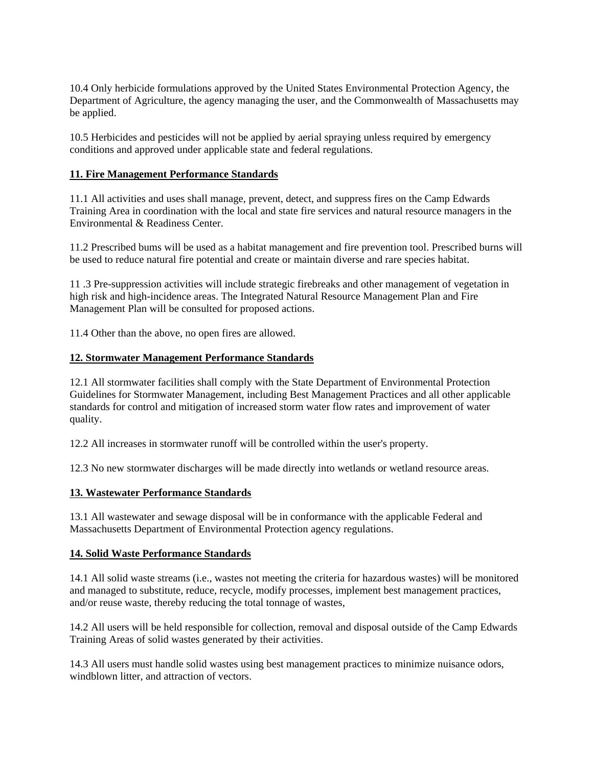10.4 Only herbicide formulations approved by the United States Environmental Protection Agency, the Department of Agriculture, the agency managing the user, and the Commonwealth of Massachusetts may be applied.

10.5 Herbicides and pesticides will not be applied by aerial spraying unless required by emergency conditions and approved under applicable state and federal regulations.

#### **11. Fire Management Performance Standards**

11.1 All activities and uses shall manage, prevent, detect, and suppress fires on the Camp Edwards Training Area in coordination with the local and state fire services and natural resource managers in the Environmental & Readiness Center.

11.2 Prescribed bums will be used as a habitat management and fire prevention tool. Prescribed burns will be used to reduce natural fire potential and create or maintain diverse and rare species habitat.

11 .3 Pre-suppression activities will include strategic firebreaks and other management of vegetation in high risk and high-incidence areas. The Integrated Natural Resource Management Plan and Fire Management Plan will be consulted for proposed actions.

11.4 Other than the above, no open fires are allowed.

## **12. Stormwater Management Performance Standards**

12.1 All stormwater facilities shall comply with the State Department of Environmental Protection Guidelines for Stormwater Management, including Best Management Practices and all other applicable standards for control and mitigation of increased storm water flow rates and improvement of water quality.

12.2 All increases in stormwater runoff will be controlled within the user's property.

12.3 No new stormwater discharges will be made directly into wetlands or wetland resource areas.

# **13. Wastewater Performance Standards**

13.1 All wastewater and sewage disposal will be in conformance with the applicable Federal and Massachusetts Department of Environmental Protection agency regulations.

#### **14. Solid Waste Performance Standards**

14.1 All solid waste streams (i.e., wastes not meeting the criteria for hazardous wastes) will be monitored and managed to substitute, reduce, recycle, modify processes, implement best management practices, and/or reuse waste, thereby reducing the total tonnage of wastes,

14.2 All users will be held responsible for collection, removal and disposal outside of the Camp Edwards Training Areas of solid wastes generated by their activities.

14.3 All users must handle solid wastes using best management practices to minimize nuisance odors, windblown litter, and attraction of vectors.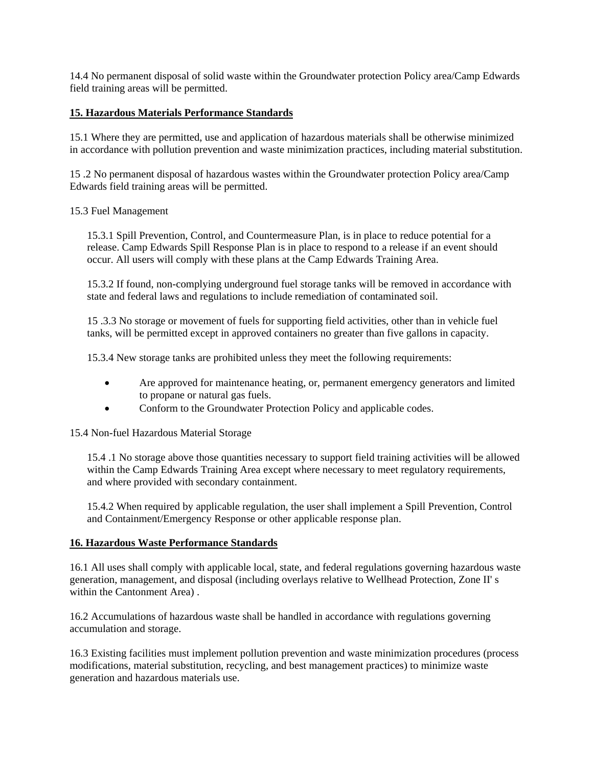14.4 No permanent disposal of solid waste within the Groundwater protection Policy area/Camp Edwards field training areas will be permitted.

#### **15. Hazardous Materials Performance Standards**

15.1 Where they are permitted, use and application of hazardous materials shall be otherwise minimized in accordance with pollution prevention and waste minimization practices, including material substitution.

15 .2 No permanent disposal of hazardous wastes within the Groundwater protection Policy area/Camp Edwards field training areas will be permitted.

#### 15.3 Fuel Management

15.3.1 Spill Prevention, Control, and Countermeasure Plan, is in place to reduce potential for a release. Camp Edwards Spill Response Plan is in place to respond to a release if an event should occur. All users will comply with these plans at the Camp Edwards Training Area.

15.3.2 If found, non-complying underground fuel storage tanks will be removed in accordance with state and federal laws and regulations to include remediation of contaminated soil.

15 .3.3 No storage or movement of fuels for supporting field activities, other than in vehicle fuel tanks, will be permitted except in approved containers no greater than five gallons in capacity.

15.3.4 New storage tanks are prohibited unless they meet the following requirements:

- Are approved for maintenance heating, or, permanent emergency generators and limited to propane or natural gas fuels.
- Conform to the Groundwater Protection Policy and applicable codes.

#### 15.4 Non-fuel Hazardous Material Storage

15.4 .1 No storage above those quantities necessary to support field training activities will be allowed within the Camp Edwards Training Area except where necessary to meet regulatory requirements, and where provided with secondary containment.

15.4.2 When required by applicable regulation, the user shall implement a Spill Prevention, Control and Containment/Emergency Response or other applicable response plan.

#### **16. Hazardous Waste Performance Standards**

16.1 All uses shall comply with applicable local, state, and federal regulations governing hazardous waste generation, management, and disposal (including overlays relative to Wellhead Protection, Zone II' s within the Cantonment Area) .

16.2 Accumulations of hazardous waste shall be handled in accordance with regulations governing accumulation and storage.

16.3 Existing facilities must implement pollution prevention and waste minimization procedures (process modifications, material substitution, recycling, and best management practices) to minimize waste generation and hazardous materials use.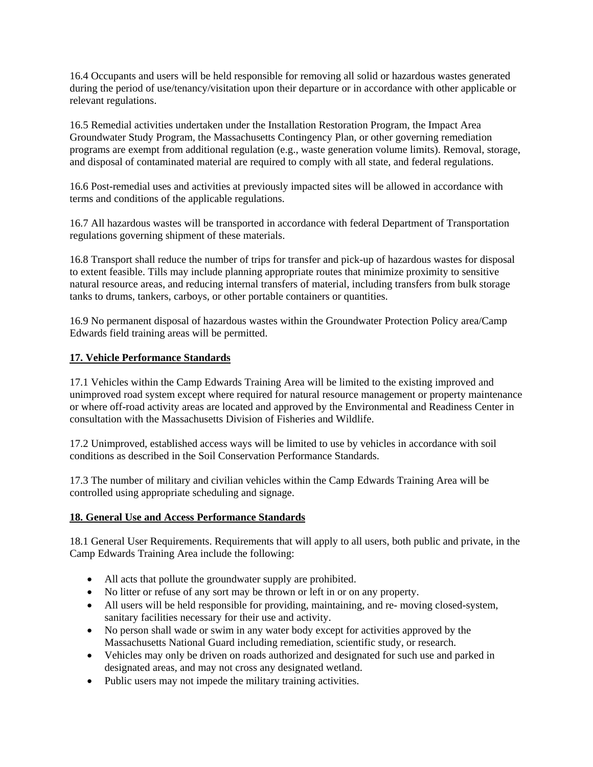16.4 Occupants and users will be held responsible for removing all solid or hazardous wastes generated during the period of use/tenancy/visitation upon their departure or in accordance with other applicable or relevant regulations.

16.5 Remedial activities undertaken under the Installation Restoration Program, the Impact Area Groundwater Study Program, the Massachusetts Contingency Plan, or other governing remediation programs are exempt from additional regulation (e.g., waste generation volume limits). Removal, storage, and disposal of contaminated material are required to comply with all state, and federal regulations.

16.6 Post-remedial uses and activities at previously impacted sites will be allowed in accordance with terms and conditions of the applicable regulations.

16.7 All hazardous wastes will be transported in accordance with federal Department of Transportation regulations governing shipment of these materials.

16.8 Transport shall reduce the number of trips for transfer and pick-up of hazardous wastes for disposal to extent feasible. Tills may include planning appropriate routes that minimize proximity to sensitive natural resource areas, and reducing internal transfers of material, including transfers from bulk storage tanks to drums, tankers, carboys, or other portable containers or quantities.

16.9 No permanent disposal of hazardous wastes within the Groundwater Protection Policy area/Camp Edwards field training areas will be permitted.

#### **17. Vehicle Performance Standards**

17.1 Vehicles within the Camp Edwards Training Area will be limited to the existing improved and unimproved road system except where required for natural resource management or property maintenance or where off-road activity areas are located and approved by the Environmental and Readiness Center in consultation with the Massachusetts Division of Fisheries and Wildlife.

17.2 Unimproved, established access ways will be limited to use by vehicles in accordance with soil conditions as described in the Soil Conservation Performance Standards.

17.3 The number of military and civilian vehicles within the Camp Edwards Training Area will be controlled using appropriate scheduling and signage.

#### **18. General Use and Access Performance Standards**

18.1 General User Requirements. Requirements that will apply to all users, both public and private, in the Camp Edwards Training Area include the following:

- All acts that pollute the groundwater supply are prohibited.
- No litter or refuse of any sort may be thrown or left in or on any property.
- All users will be held responsible for providing, maintaining, and re- moving closed-system, sanitary facilities necessary for their use and activity.
- No person shall wade or swim in any water body except for activities approved by the Massachusetts National Guard including remediation, scientific study, or research.
- Vehicles may only be driven on roads authorized and designated for such use and parked in designated areas, and may not cross any designated wetland.
- Public users may not impede the military training activities.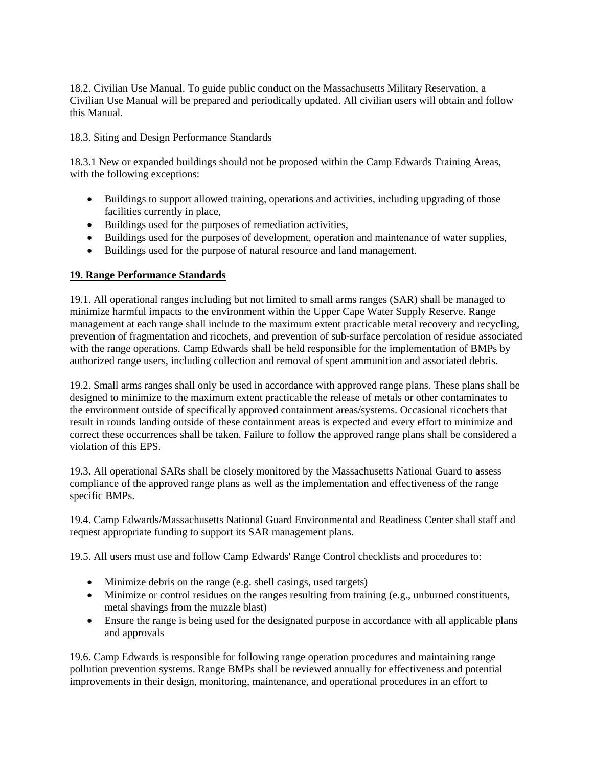18.2. Civilian Use Manual. To guide public conduct on the Massachusetts Military Reservation, a Civilian Use Manual will be prepared and periodically updated. All civilian users will obtain and follow this Manual.

18.3. Siting and Design Performance Standards

18.3.1 New or expanded buildings should not be proposed within the Camp Edwards Training Areas, with the following exceptions:

- Buildings to support allowed training, operations and activities, including upgrading of those facilities currently in place,
- Buildings used for the purposes of remediation activities,
- Buildings used for the purposes of development, operation and maintenance of water supplies,
- Buildings used for the purpose of natural resource and land management.

# **19. Range Performance Standards**

19.1. All operational ranges including but not limited to small arms ranges (SAR) shall be managed to minimize harmful impacts to the environment within the Upper Cape Water Supply Reserve. Range management at each range shall include to the maximum extent practicable metal recovery and recycling, prevention of fragmentation and ricochets, and prevention of sub-surface percolation of residue associated with the range operations. Camp Edwards shall be held responsible for the implementation of BMPs by authorized range users, including collection and removal of spent ammunition and associated debris.

19.2. Small arms ranges shall only be used in accordance with approved range plans. These plans shall be designed to minimize to the maximum extent practicable the release of metals or other contaminates to the environment outside of specifically approved containment areas/systems. Occasional ricochets that result in rounds landing outside of these containment areas is expected and every effort to minimize and correct these occurrences shall be taken. Failure to follow the approved range plans shall be considered a violation of this EPS.

19.3. All operational SARs shall be closely monitored by the Massachusetts National Guard to assess compliance of the approved range plans as well as the implementation and effectiveness of the range specific BMPs.

19.4. Camp Edwards/Massachusetts National Guard Environmental and Readiness Center shall staff and request appropriate funding to support its SAR management plans.

19.5. All users must use and follow Camp Edwards' Range Control checklists and procedures to:

- Minimize debris on the range (e.g. shell casings, used targets)
- Minimize or control residues on the ranges resulting from training (e.g., unburned constituents, metal shavings from the muzzle blast)
- Ensure the range is being used for the designated purpose in accordance with all applicable plans and approvals

19.6. Camp Edwards is responsible for following range operation procedures and maintaining range pollution prevention systems. Range BMPs shall be reviewed annually for effectiveness and potential improvements in their design, monitoring, maintenance, and operational procedures in an effort to